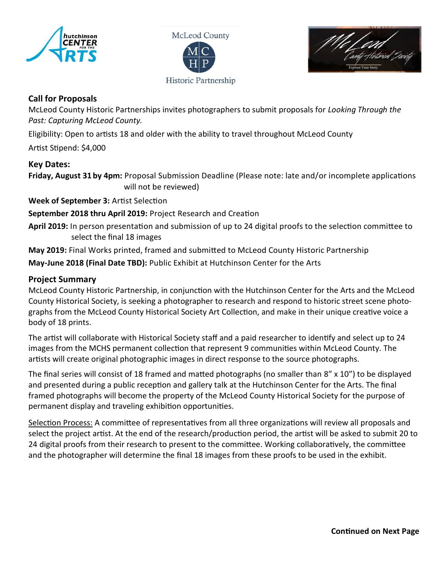

McLeod County Historic Partnership



## **Call for Proposals**

McLeod County Historic Partnerships invites photographers to submit proposals for *Looking Through the Past: Capturing McLeod County.*

Eligibility: Open to artists 18 and older with the ability to travel throughout McLeod County

Artist Stipend: \$4,000

## **Key Dates:**

**Friday, August 31 by 4pm:** Proposal Submission Deadline (Please note: late and/or incomplete applications will not be reviewed)

**Week of September 3:** Artist Selection

**September 2018 thru April 2019:** Project Research and Creation

**April 2019:** In person presentation and submission of up to 24 digital proofs to the selection committee to select the final 18 images

**May 2019:** Final Works printed, framed and submitted to McLeod County Historic Partnership

**May-June 2018 (Final Date TBD):** Public Exhibit at Hutchinson Center for the Arts

## **Project Summary**

McLeod County Historic Partnership, in conjunction with the Hutchinson Center for the Arts and the McLeod County Historical Society, is seeking a photographer to research and respond to historic street scene photographs from the McLeod County Historical Society Art Collection, and make in their unique creative voice a body of 18 prints.

The artist will collaborate with Historical Society staff and a paid researcher to identify and select up to 24 images from the MCHS permanent collection that represent 9 communities within McLeod County. The artists will create original photographic images in direct response to the source photographs.

The final series will consist of 18 framed and matted photographs (no smaller than 8" x 10") to be displayed and presented during a public reception and gallery talk at the Hutchinson Center for the Arts. The final framed photographs will become the property of the McLeod County Historical Society for the purpose of permanent display and traveling exhibition opportunities.

Selection Process: A committee of representatives from all three organizations will review all proposals and select the project artist. At the end of the research/production period, the artist will be asked to submit 20 to 24 digital proofs from their research to present to the committee. Working collaboratively, the committee and the photographer will determine the final 18 images from these proofs to be used in the exhibit.